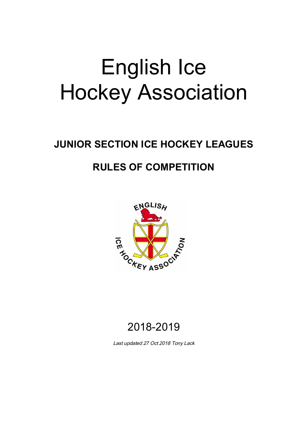# English Ice Hockey Association

## **JUNIOR SECTION ICE HOCKEY LEAGUES**

### **RULES OF COMPETITION**



### 2018-2019

*Last updated 27 Oct 2018 Tony Lack*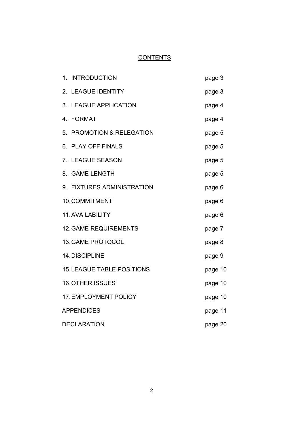### **CONTENTS**

| 1. INTRODUCTION                   | page 3  |
|-----------------------------------|---------|
| 2. LEAGUE IDENTITY                | page 3  |
| 3. LEAGUE APPLICATION             | page 4  |
| 4. FORMAT                         | page 4  |
| 5. PROMOTION & RELEGATION         | page 5  |
| 6. PLAY OFF FINALS                | page 5  |
| 7. LEAGUE SEASON                  | page 5  |
| 8. GAME LENGTH                    | page 5  |
| 9. FIXTURES ADMINISTRATION        | page 6  |
| 10. COMMITMENT                    | page 6  |
| 11. AVAILABILITY                  | page 6  |
| <b>12. GAME REQUIREMENTS</b>      | page 7  |
| <b>13. GAME PROTOCOL</b>          | page 8  |
| 14. DISCIPLINE                    | page 9  |
| <b>15. LEAGUE TABLE POSITIONS</b> | page 10 |
| <b>16. OTHER ISSUES</b>           | page 10 |
| 17. EMPLOYMENT POLICY             | page 10 |
| <b>APPENDICES</b>                 | page 11 |
| <b>DECLARATION</b>                | page 20 |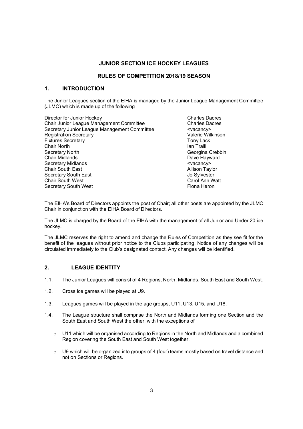#### **JUNIOR SECTION ICE HOCKEY LEAGUES**

#### **RULES OF COMPETITION 2018/19 SEASON**

#### **1. INTRODUCTION**

The Junior Leagues section of the EIHA is managed by the Junior League Management Committee (JLMC) which is made up of the following

Director for Junior Hockey<br>
Chair Junior League Management Committee 
Chair Junior League Management Committee 
Charles Dacres Chair Junior League Management Committee Secretary Junior League Management Committee  $\overline{\phantom{C}}$  <vacancy><br>Registration Secretary **Registration Secretary** Fixtures Secretary **The Contract Contract Contract Contract Contract Contract Contract Contract Contract Contract Contract Contract Contract Contract Contract Contract Contract Contract Contract Contract Contract Contract** Chair North **Ian Traill** Secretary North **Georgina** Crebbin Chair Midlands **Dave Hayward** Secretary Midlands **Exercise Contract Contract Contract Contract Contract Contract Contract Contract Contract Contract Contract Contract Contract Contract Contract Contract Contract Contract Contract Contract Contract Cont** Chair South East **Allison Taylor Allison Taylor** Secretary South East The Sylvester South Assets Jo Sylvester<br>Chair South West The Sylvester Carol Ann Watt Chair South West Carol Ann W. Carol Ann W. Secretary South West Carol Ann W. Carol Ann W. Secretary South West Secretary South West

The EIHA's Board of Directors appoints the post of Chair; all other posts are appointed by the JLMC Chair in conjunction with the EIHA Board of Directors.

The JLMC is charged by the Board of the EIHA with the management of all Junior and Under 20 ice hockey.

The JLMC reserves the right to amend and change the Rules of Competition as they see fit for the benefit of the leagues without prior notice to the Clubs participating. Notice of any changes will be circulated immediately to the Club's designated contact. Any changes will be identified.

#### **2. LEAGUE IDENTITY**

- 1.1. The Junior Leagues will consist of 4 Regions, North, Midlands, South East and South West.
- 1.2. Cross Ice games will be played at U9.
- 1.3. Leagues games will be played in the age groups, U11, U13, U15, and U18.
- 1.4. The League structure shall comprise the North and Midlands forming one Section and the South East and South West the other, with the exceptions of
	- $\circ$  U11 which will be organised according to Regions in the North and Midlands and a combined Region covering the South East and South West together.
	- $\circ$  U9 which will be organized into groups of 4 (four) teams mostly based on travel distance and not on Sections or Regions.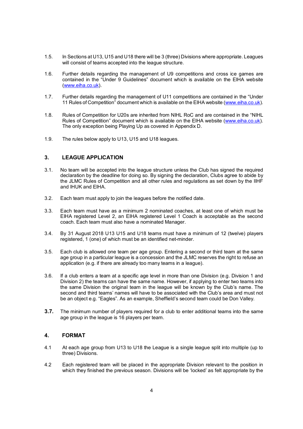- 1.5. In Sections at U13, U15 and U18 there will be 3 (three) Divisions where appropriate. Leagues will consist of teams accepted into the league structure.
- 1.6. Further details regarding the management of U9 competitions and cross ice games are contained in the "Under 9 Guidelines" document which is available on the EIHA website (www.eiha.co.uk).
- 1.7. Further details regarding the management of U11 competitions are contained in the "Under 11 Rules of Competition" document which is available on the EIHA website (www.eiha.co.uk).
- 1.8. Rules of Competition for U20s are inherited from NIHL RoC and are contained in the "NIHL Rules of Competition" document which is available on the EIHA website (www.eiha.co.uk). The only exception being Playing Up as covered in Appendix D.
- 1.9. The rules below apply to U13, U15 and U18 leagues.

#### **3. LEAGUE APPLICATION**

- 3.1. No team will be accepted into the league structure unless the Club has signed the required declaration by the deadline for doing so. By signing the declaration, Clubs agree to abide by the JLMC Rules of Competition and all other rules and regulations as set down by the IIHF and IHUK and EIHA.
- 3.2. Each team must apply to join the leagues before the notified date.
- 3.3. Each team must have as a minimum 2 nominated coaches, at least one of which must be EIHA registered Level 2, an EIHA registered Level 1 Coach is acceptable as the second coach. Each team must also have a nominated Manager.
- 3.4. By 31 August 2018 U13 U15 and U18 teams must have a minimum of 12 (twelve) players registered, 1 (one) of which must be an identified net-minder.
- 3.5. Each club is allowed one team per age group. Entering a second or third team at the same age group in a particular league is a concession and the JLMC reserves the right to refuse an application (e.g. if there are already too many teams in a league).
- 3.6. If a club enters a team at a specific age level in more than one Division (e.g. Division 1 and Division 2) the teams can have the same name. However, if applying to enter two teams into the same Division the original team in the league will be known by the Club's name. The second and third teams' names will have to be associated with the Club's area and must not be an object e.g. "Eagles". As an example, Sheffield's second team could be Don Valley.
- **3.7.** The minimum number of players required for a club to enter additional teams into the same age group in the league is 16 players per team.

#### **4. FORMAT**

- 4.1 At each age group from U13 to U18 the League is a single league split into multiple (up to three) Divisions.
- 4.2 Each registered team will be placed in the appropriate Division relevant to the position in which they finished the previous season. Divisions will be 'locked' as felt appropriate by the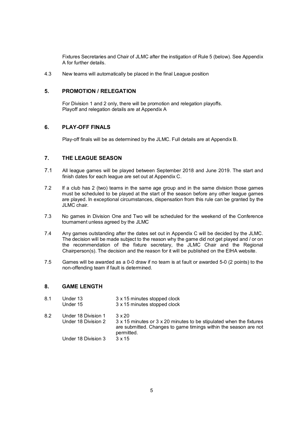Fixtures Secretaries and Chair of JLMC after the instigation of Rule 5 (below). See Appendix A for further details.

4.3 New teams will automatically be placed in the final League position

#### **5. PROMOTION / RELEGATION**

For Division 1 and 2 only, there will be promotion and relegation playoffs. Playoff and relegation details are at Appendix A

#### **6. PLAY-OFF FINALS**

Play-off finals will be as determined by the JLMC. Full details are at Appendix B.

#### **7. THE LEAGUE SEASON**

- 7.1 All league games will be played between September 2018 and June 2019. The start and finish dates for each league are set out at Appendix C.
- 7.2 If a club has 2 (two) teams in the same age group and in the same division those games must be scheduled to be played at the start of the season before any other league games are played. In exceptional circumstances, dispensation from this rule can be granted by the JLMC chair.
- 7.3 No games in Division One and Two will be scheduled for the weekend of the Conference tournament unless agreed by the JLMC
- 7.4 Any games outstanding after the dates set out in Appendix C will be decided by the JLMC. The decision will be made subject to the reason why the game did not get played and / or on the recommendation of the fixture secretary, the JLMC Chair and the Regional Chairperson(s). The decision and the reason for it will be published on the EIHA website.
- 7.5 Games will be awarded as a 0-0 draw if no team is at fault or awarded 5-0 (2 points) to the non-offending team if fault is determined.

#### **8. GAME LENGTH**

| 8.1 | Under 13<br>Under 15                       | 3 x 15 minutes stopped clock<br>3 x 15 minutes stopped clock                                                                                                           |
|-----|--------------------------------------------|------------------------------------------------------------------------------------------------------------------------------------------------------------------------|
| 8.2 | Under 18 Division 1<br>Under 18 Division 2 | $3 \times 20$<br>3 x 15 minutes or 3 x 20 minutes to be stipulated when the fixtures<br>are submitted. Changes to game timings within the season are not<br>permitted. |
|     | Under 18 Division 3                        | $3 \times 15$                                                                                                                                                          |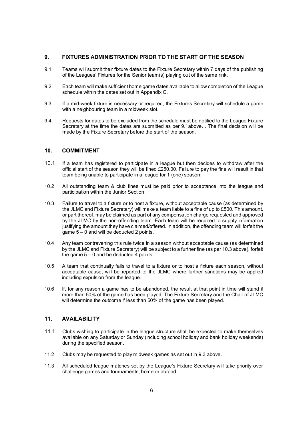#### **9. FIXTURES ADMINISTRATION PRIOR TO THE START OF THE SEASON**

- 9.1 Teams will submit their fixture dates to the Fixture Secretary within 7 days of the publishing of the Leagues' Fixtures for the Senior team(s) playing out of the same rink.
- 9.2 Each team will make sufficient home game dates available to allow completion of the League schedule within the dates set out in Appendix C.
- 9.3 If a mid-week fixture is necessary or required, the Fixtures Secretary will schedule a game with a neighbouring team in a midweek slot.
- 9.4 Requests for dates to be excluded from the schedule must be notified to the League Fixture Secretary at the time the dates are submitted as per 9.1above. . The final decision will be made by the Fixture Secretary before the start of the season.

#### **10. COMMITMENT**

- 10.1 If a team has registered to participate in a league but then decides to withdraw after the official start of the season they will be fined £250.00. Failure to pay the fine will result in that team being unable to participate in a league for 1 (one) season.
- 10.2 All outstanding team & club fines must be paid prior to acceptance into the league and participation within the Junior Section.
- 10.3 Failure to travel to a fixture or to host a fixture, without acceptable cause (as determined by the JLMC and Fixture Secretary) will make a team liable to a fine of up to £500. This amount, or part thereof, may be claimed as part of any compensation charge requested and approved by the JLMC by the non-offending team. Each team will be required to supply information justifying the amount they have claimed/offered. In addition, the offending team will forfeit the  $\alpha$  dame  $5 - 0$  and will be deducted 2 points.
- 10.4 Any team contravening this rule twice in a season without acceptable cause (as determined by the JLMC and Fixture Secretary) will be subject to a further fine (as per 10.3 above), forfeit the game  $5 - 0$  and be deducted 4 points.
- 10.5 A team that continually fails to travel to a fixture or to host a fixture each season, without acceptable cause, will be reported to the JLMC where further sanctions may be applied including expulsion from the league.
- 10.6 If, for any reason a game has to be abandoned, the result at that point in time will stand if more than 50% of the game has been played. The Fixture Secretary and the Chair of JLMC will determine the outcome if less than 50% of the game has been played.

#### **11. AVAILABILITY**

- 11.1 Clubs wishing to participate in the league structure shall be expected to make themselves available on any Saturday or Sunday (including school holiday and bank holiday weekends) during the specified season.
- 11.2 Clubs may be requested to play midweek games as set out in 9.3 above.
- 11.3 All scheduled league matches set by the League's Fixture Secretary will take priority over challenge games and tournaments, home or abroad.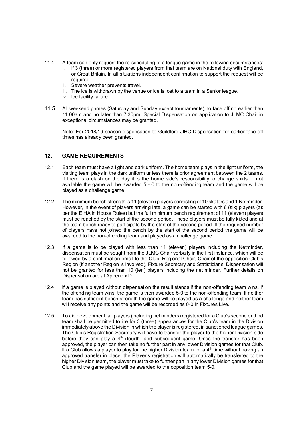- 11.4 A team can only request the re-scheduling of a league game in the following circumstances:
	- If 3 (three) or more registered players from that team are on National duty with England, or Great Britain. In all situations independent confirmation to support the request will be required.
	- ii. Severe weather prevents travel.
	- iii. The ice is withdrawn by the venue or ice is lost to a team in a Senior league.
	- iv. Ice facility failure.
- 11.5 All weekend games (Saturday and Sunday except tournaments), to face off no earlier than 11.00am and no later than 7.30pm. Special Dispensation on application to JLMC Chair in exceptional circumstances may be granted.

Note: For 2018/19 season dispensation to Guildford JIHC Dispensation for earlier face off times has already been granted.

#### **12. GAME REQUIREMENTS**

- 12.1 Each team must have a light and dark uniform. The home team plays in the light uniform, the visiting team plays in the dark uniform unless there is prior agreement between the 2 teams. If there is a clash on the day it is the home side's responsibility to change shirts. If not available the game will be awarded 5 - 0 to the non-offending team and the game will be played as a challenge game
- 12.2 The minimum bench strength is 11 (eleven) players consisting of 10 skaters and 1 Netminder. However, in the event of players arriving late, a game can be started with 6 (six) players (as per the EIHA In House Rules) but the full minimum bench requirement of 11 (eleven) players must be reached by the start of the second period. These players must be fully kitted and at the team bench ready to participate by the start of the second period. If the required number of players have not joined the bench by the start of the second period the game will be awarded to the non-offending team and played as a challenge game.
- 12.3 If a game is to be played with less than 11 (eleven) players including the Netminder, dispensation must be sought from the JLMC Chair verbally in the first instance, which will be followed by a confirmation email to the Club, Regional Chair, Chair of the opposition Club's Region (if another Region is involved), Fixture Secretary and Statisticians. Dispensation will not be granted for less than 10 (ten) players including the net minder. Further details on Dispensation are at Appendix D.
- 12.4 If a game is played without dispensation the result stands if the non-offending team wins. If the offending team wins, the game is then awarded 5-0 to the non-offending team. If neither team has sufficient bench strength the game will be played as a challenge and neither team will receive any points and the game will be recorded as 0-0 in Fixtures Live.
- 12.5 To aid development, all players (including net minders) registered for a Club's second or third team shall be permitted to ice for 3 (three) appearances for the Club's team in the Division immediately above the Division in which the player is registered, in sanctioned league games. The Club's Registration Secretary will have to transfer the player to the higher Division side before they can play a 4<sup>th</sup> (fourth) and subsequent game. Once the transfer has been approved, the player can then take no further part in any lower Division games for that Club. If a Club allows a player to play for the higher Division team for a  $4^{\text{th}}$  time without having an approved transfer in place, the Player's registration will automatically be transferred to the higher Division team, the player must take to further part in any lower Division games for that Club and the game played will be awarded to the opposition team 5-0.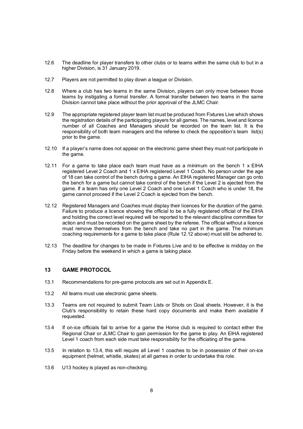- 12.6 The deadline for player transfers to other clubs or to teams within the same club to but in a higher Division, is 31 January 2019.
- 12.7 Players are not permitted to play down a league or Division.
- 12.8 Where a club has two teams in the same Division, players can only move between those teams by instigating a formal transfer. A formal transfer between two teams in the same Division cannot take place without the prior approval of the JLMC Chair.
- 12.9 The appropriate registered player team list must be produced from Fixtures Live which shows the registration details of the participating players for all games. The names, level and licence number of all Coaches and Managers should be recorded on the team list. It is the responsibility of both team managers and the referee to check the opposition's team list(s) prior to the game.
- 12.10 If a player's name does not appear on the electronic game sheet they must not participate in the game.
- 12.11 For a game to take place each team must have as a minimum on the bench 1 x EIHA registered Level 2 Coach and 1 x EIHA registered Level 1 Coach. No person under the age of 18 can take control of the bench during a game. An EIHA registered Manager can go onto the bench for a game but cannot take control of the bench if the Level 2 is ejected from the game. If a team has only one Level 2 Coach and one Level 1 Coach who is under 18, the game cannot proceed if the Level 2 Coach is ejected from the bench.
- 12.12 Registered Managers and Coaches must display their licences for the duration of the game. Failure to produce a licence showing the official to be a fully registered official of the EIHA and holding the correct level required will be reported to the relevant discipline committee for action and must be recorded on the game sheet by the referee. The official without a licence must remove themselves from the bench and take no part in the game. The minimum coaching requirements for a game to take place (Rule 12.12 above) must still be adhered to.
- 12.13 The deadline for changes to be made in Fixtures Live and to be effective is midday on the Friday before the weekend in which a game is taking place.

#### **13 GAME PROTOCOL**

- 13.1 Recommendations for pre-game protocols are set out in Appendix E.
- 13.2 All teams must use electronic game sheets.
- 13.3 Teams are not required to submit Team Lists or Shots on Goal sheets. However, it is the Club's responsibility to retain these hard copy documents and make them available if requested.
- 13.4 If on-ice officials fail to arrive for a game the Home club is required to contact either the Regional Chair or JLMC Chair to gain permission for the game to play. An EIHA registered Level 1 coach from each side must take responsibility for the officiating of the game.
- 13.5 In relation to 13.4, this will require all Level 1 coaches to be in possession of their on-ice equipment (helmet, whistle, skates) at all games in order to undertake this role.
- 13.6 U13 hockey is played as non-checking.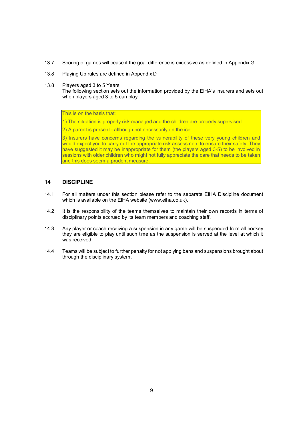- 13.7 Scoring of games will cease if the goal difference is excessive as defined in Appendix G.
- 13.8 Playing Up rules are defined in Appendix D
- 13.8 Players aged 3 to 5 Years

The following section sets out the information provided by the EIHA's insurers and sets out when players aged 3 to 5 can play:

This is on the basis that:

- 1) The situation is properly risk managed and the children are properly supervised.
- 2) A parent is present although not necessarily on the ice

3) Insurers have concerns regarding the vulnerability of these very young children and would expect you to carry out the appropriate risk assessment to ensure their safety. They have suggested it may be inappropriate for them (the players aged 3-5) to be involved in sessions with older children who might not fully appreciate the care that needs to be taken and this does seem a prudent measure.

#### **14 DISCIPLINE**

- 14.1 For all matters under this section please refer to the separate EIHA Discipline document which is available on the EIHA website (www.eiha.co.uk).
- 14.2 It is the responsibility of the teams themselves to maintain their own records in terms of disciplinary points accrued by its team members and coaching staff.
- 14.3 Any player or coach receiving a suspension in any game will be suspended from all hockey they are eligible to play until such time as the suspension is served at the level at which it was received.
- 14.4 Teams will be subject to further penalty for not applying bans and suspensions brought about through the disciplinary system.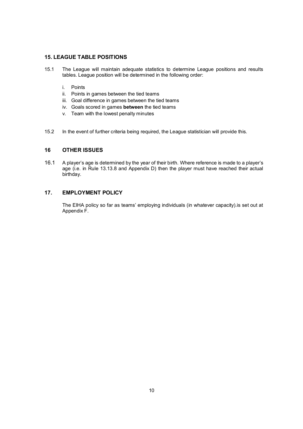#### **15. LEAGUE TABLE POSITIONS**

- 15.1 The League will maintain adequate statistics to determine League positions and results tables. League position will be determined in the following order:
	- i. Points
	- ii. Points in games between the tied teams
	- iii. Goal difference in games between the tied teams
	- iv. Goals scored in games **between** the tied teams
	- v. Team with the lowest penalty minutes
- 15.2 In the event of further criteria being required, the League statistician will provide this.

#### **16 OTHER ISSUES**

16.1 A player's age is determined by the year of their birth. Where reference is made to a player's age (i.e. in Rule 13.13.8 and Appendix D) then the player must have reached their actual birthday.

#### **17. EMPLOYMENT POLICY**

The EIHA policy so far as teams' employing individuals (in whatever capacity).is set out at Appendix F.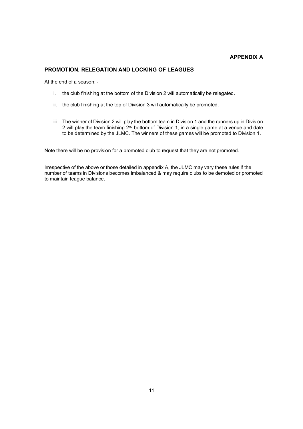#### **APPENDIX A**

#### **PROMOTION, RELEGATION AND LOCKING OF LEAGUES**

At the end of a season: -

- i. the club finishing at the bottom of the Division 2 will automatically be relegated.
- ii. the club finishing at the top of Division 3 will automatically be promoted.
- iii. The winner of Division 2 will play the bottom team in Division 1 and the runners up in Division 2 will play the team finishing 2<sup>nd</sup> bottom of Division 1, in a single game at a venue and date to be determined by the JLMC. The winners of these games will be promoted to Division 1.

Note there will be no provision for a promoted club to request that they are not promoted.

Irrespective of the above or those detailed in appendix A, the JLMC may vary these rules if the number of teams in Divisions becomes imbalanced & may require clubs to be demoted or promoted to maintain league balance.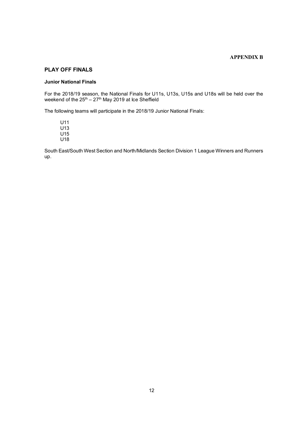#### **APPENDIX B**

#### **PLAY OFF FINALS**

#### **Junior National Finals**

For the 2018/19 season, the National Finals for U11s, U13s, U15s and U18s will be held over the weekend of the 25<sup>th</sup> – 27<sup>th</sup> May 2019 at Ice Sheffield

The following teams will participate in the 2018/19 Junior National Finals:

U11 U13 U15 U18

South East/South West Section and North/Midlands Section Division 1 League Winners and Runners up.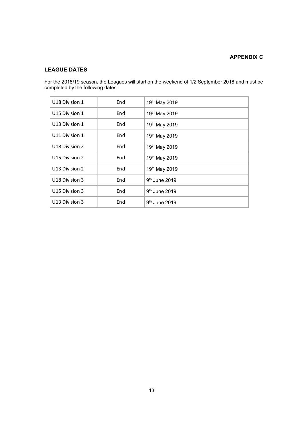#### **APPENDIX C**

#### **LEAGUE DATES**

For the 2018/19 season, the Leagues will start on the weekend of 1/2 September 2018 and must be completed by the following dates:

| U18 Division 1             | End | 19 <sup>th</sup> May 2019 |
|----------------------------|-----|---------------------------|
| U15 Division 1             | End | 19th May 2019             |
| U13 Division 1             | End | 19th May 2019             |
| U11 Division 1             | End | 19th May 2019             |
| U18 Division 2             | End | 19th May 2019             |
| U15 Division 2             | End | 19th May 2019             |
| U13 Division 2             | End | 19th May 2019             |
| U <sub>18</sub> Division 3 | End | $9th$ June 2019           |
| U15 Division 3             | End | 9 <sup>th</sup> June 2019 |
| U13 Division 3             | End | $9th$ June 2019           |
|                            |     |                           |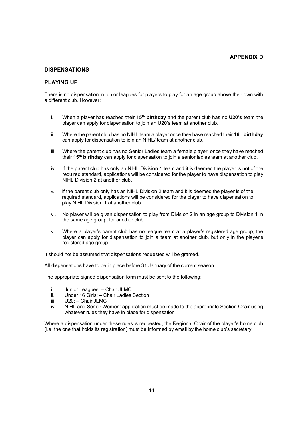#### **APPENDIX D**

#### **DISPENSATIONS**

#### **PLAYING UP**

There is no dispensation in junior leagues for players to play for an age group above their own with a different club. However:

- i. When a player has reached their **15th birthday** and the parent club has no **U20's** team the player can apply for dispensation to join an U20's team at another club.
- ii. Where the parent club has no NIHL team a player once they have reached their **16th birthday** can apply for dispensation to join an NIHL/ team at another club.
- iii. Where the parent club has no Senior Ladies team a female player, once they have reached their **15th birthday** can apply for dispensation to join a senior ladies team at another club.
- iv. If the parent club has only an NIHL Division 1 team and it is deemed the player is not of the required standard, applications will be considered for the player to have dispensation to play NIHL Division 2 at another club.
- v. If the parent club only has an NIHL Division 2 team and it is deemed the player is of the required standard, applications will be considered for the player to have dispensation to play NIHL Division 1 at another club.
- vi. No player will be given dispensation to play from Division 2 in an age group to Division 1 in the same age group, for another club.
- vii. Where a player's parent club has no league team at a player's registered age group, the player can apply for dispensation to join a team at another club, but only in the player's registered age group.

It should not be assumed that dispensations requested will be granted.

All dispensations have to be in place before 31 January of the current season.

The appropriate signed dispensation form must be sent to the following:

- i. Junior Leagues: Chair JLMC
- ii. Under 16 Girls: Chair Ladies Section
- iii. U20: Chair JLMC
- iv. NIHL and Senior Women: application must be made to the appropriate Section Chair using whatever rules they have in place for dispensation

Where a dispensation under these rules is requested, the Regional Chair of the player's home club (i.e. the one that holds its registration) must be informed by email by the home club's secretary.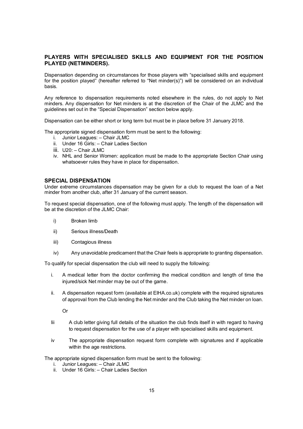#### **PLAYERS WITH SPECIALISED SKILLS AND EQUIPMENT FOR THE POSITION PLAYED (NETMINDERS).**

Dispensation depending on circumstances for those players with "specialised skills and equipment for the position played" (hereafter referred to "Net minder(s)") will be considered on an individual basis.

Any reference to dispensation requirements noted elsewhere in the rules, do not apply to Net minders. Any dispensation for Net minders is at the discretion of the Chair of the JLMC and the guidelines set out in the "Special Dispensation" section below apply.

Dispensation can be either short or long term but must be in place before 31 January 2018.

The appropriate signed dispensation form must be sent to the following:

- i. Junior Leagues: Chair JLMC
- ii. Under 16 Girls: Chair Ladies Section
- iii. U20: Chair JLMC
- iv. NHL and Senior Women: application must be made to the appropriate Section Chair using whatsoever rules they have in place for dispensation.

#### **SPECIAL DISPENSATION**

Under extreme circumstances dispensation may be given for a club to request the loan of a Net minder from another club, after 31 January of the current season.

To request special dispensation, one of the following must apply. The length of the dispensation will be at the discretion of the JLMC Chair:

- i) Broken limb
- ii) Serious illness/Death
- iii) Contagious illness
- iv) Any unavoidable predicament that the Chair feels is appropriate to granting dispensation.

To qualify for special dispensation the club will need to supply the following:

- i. A medical letter from the doctor confirming the medical condition and length of time the injured/sick Net minder may be out of the game.
- ii. A dispensation request form (available at EIHA.co.uk) complete with the required signatures of approval from the Club lending the Net minder and the Club taking the Net minder on loan.

Or

- Iii A club letter giving full details of the situation the club finds itself in with regard to having to request dispensation for the use of a player with specialised skills and equipment.
- iv The appropriate dispensation request form complete with signatures and if applicable within the age restrictions.

The appropriate signed dispensation form must be sent to the following:

- i. Junior Leagues: Chair JLMC
- ii. Under 16 Girls: Chair Ladies Section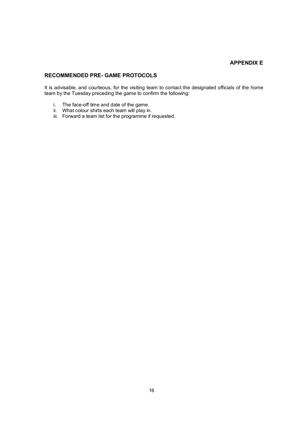#### **APPENDIX E**

#### **RECOMMENDED PRE- GAME PROTOCOLS**

It is advisable, and courteous, for the visiting team to contact the designated officials of the home team by the Tuesday preceding the game to confirm the following:

- i. The face-off time and date of the game.
- ii. What colour shirts each team will play in.
- iii. Forward a team list for the programme if requested.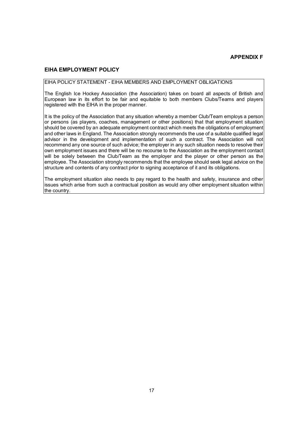#### **EIHA EMPLOYMENT POLICY**

#### EIHA POLICY STATEMENT - EIHA MEMBERS AND EMPLOYMENT OBLIGATIONS

The English Ice Hockey Association (the Association) takes on board all aspects of British and European law in its effort to be fair and equitable to both members Clubs/Teams and players registered with the EIHA in the proper manner.

It is the policy of the Association that any situation whereby a member Club/Team employs a person or persons (as players, coaches, management or other positions) that that employment situation should be covered by an adequate employment contract which meets the obligations of employment and other laws in England. The Association strongly recommends the use of a suitable qualified legal advisor in the development and implementation of such a contract. The Association will not recommend any one source of such advice; the employer in any such situation needs to resolve their own employment issues and there will be no recourse to the Association as the employment contact will be solely between the Club/Team as the employer and the player or other person as the employee. The Association strongly recommends that the employee should seek legal advice on the structure and contents of any contract prior to signing acceptance of it and its obligations.

The employment situation also needs to pay regard to the health and safety, insurance and other issues which arise from such a contractual position as would any other employment situation within the country.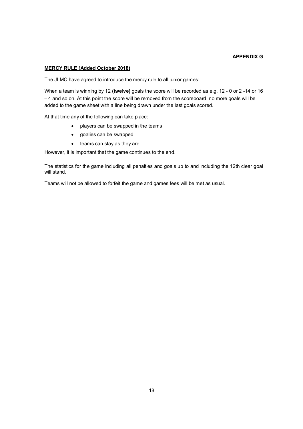#### **APPENDIX G**

#### **MERCY RULE (Added October 2018)**

The JLMC have agreed to introduce the mercy rule to all junior games:

When a team is winning by 12 **(twelve)** goals the score will be recorded as e.g. 12 - 0 or 2 -14 or 16 – 4 and so on. At this point the score will be removed from the scoreboard, no more goals will be added to the game sheet with a line being drawn under the last goals scored.

At that time any of the following can take place:

- players can be swapped in the teams
- goalies can be swapped
- $\bullet$  teams can stay as they are

However, it is important that the game continues to the end.

The statistics for the game including all penalties and goals up to and including the 12th clear goal will stand.

Teams will not be allowed to forfeit the game and games fees will be met as usual.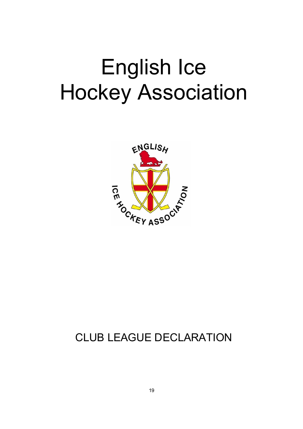# English Ice Hockey Association



### CLUB LEAGUE DECLARATION